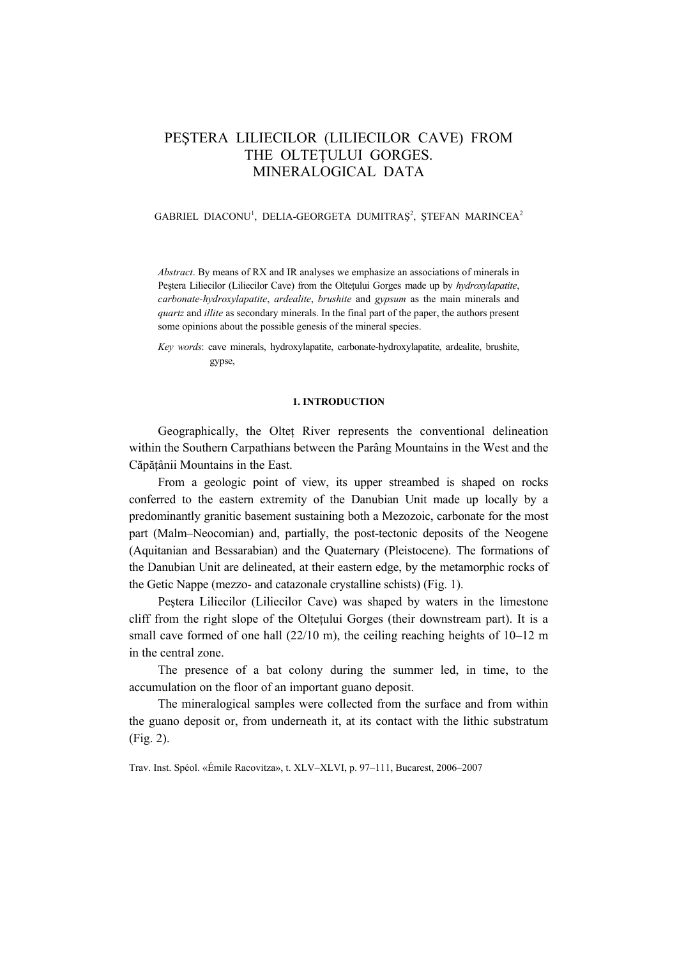# PEŞTERA LILIECILOR (LILIECILOR CAVE) FROM THE OLTETULUI GORGES. MINERALOGICAL DATA

# GABRIEL DIACONU<sup>1</sup>, DELIA-GEORGETA DUMITRAȘ<sup>2</sup>, ȘTEFAN MARINCEA<sup>2</sup>

*Abstract*. By means of RX and IR analyses we emphasize an associations of minerals in Peştera Liliecilor (Liliecilor Cave) from the Olteţului Gorges made up by *hydroxylapatite*, *carbonate-hydroxylapatite*, *ardealite*, *brushite* and *gypsum* as the main minerals and *quartz* and *illite* as secondary minerals. In the final part of the paper, the authors present some opinions about the possible genesis of the mineral species.

*Key words*: cave minerals, hydroxylapatite, carbonate-hydroxylapatite, ardealite, brushite, gypse,

## **1. INTRODUCTION**

Geographically, the Olteţ River represents the conventional delineation within the Southern Carpathians between the Parâng Mountains in the West and the Căpăţânii Mountains in the East.

From a geologic point of view, its upper streambed is shaped on rocks conferred to the eastern extremity of the Danubian Unit made up locally by a predominantly granitic basement sustaining both a Mezozoic, carbonate for the most part (Malm–Neocomian) and, partially, the post-tectonic deposits of the Neogene (Aquitanian and Bessarabian) and the Quaternary (Pleistocene). The formations of the Danubian Unit are delineated, at their eastern edge, by the metamorphic rocks of the Getic Nappe (mezzo- and catazonale crystalline schists) (Fig. 1).

Peştera Liliecilor (Liliecilor Cave) was shaped by waters in the limestone cliff from the right slope of the Oltetului Gorges (their downstream part). It is a small cave formed of one hall  $(22/10 \text{ m})$ , the ceiling reaching heights of  $10-12 \text{ m}$ in the central zone.

The presence of a bat colony during the summer led, in time, to the accumulation on the floor of an important guano deposit.

The mineralogical samples were collected from the surface and from within the guano deposit or, from underneath it, at its contact with the lithic substratum (Fig. 2).

Trav. Inst. Spéol. «Émile Racovitza», t. XLV–XLVI, p. 97–111, Bucarest, 2006–2007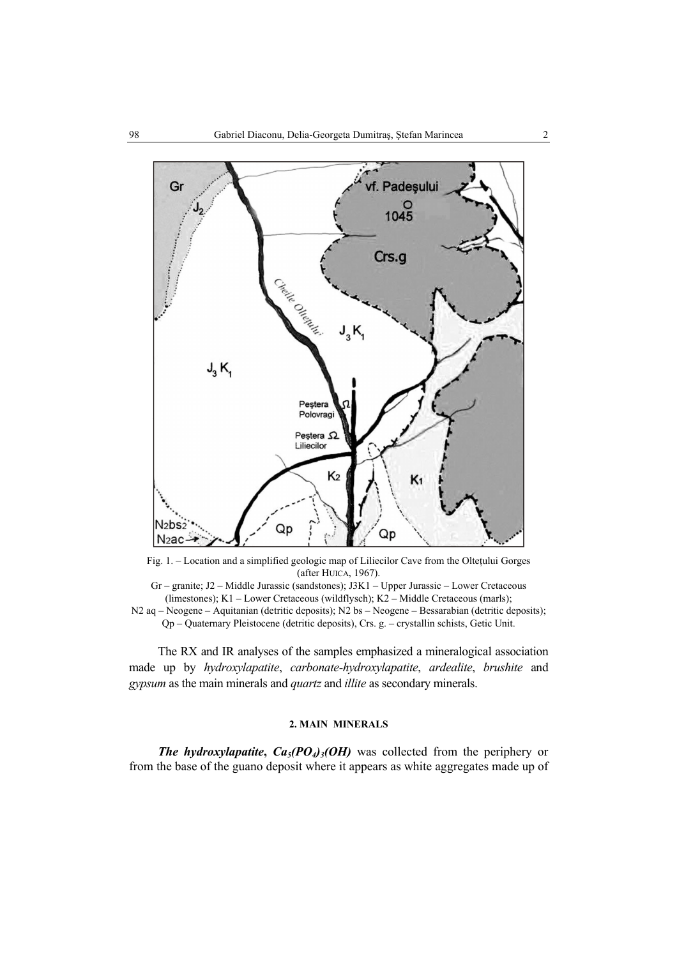

Fig. 1. – Location and a simplified geologic map of Liliecilor Cave from the Olteţului Gorges (after HUICA, 1967).

Gr – granite; J2 – Middle Jurassic (sandstones); J3K1 – Upper Jurassic – Lower Cretaceous (limestones); K1 – Lower Cretaceous (wildflysch); K2 – Middle Cretaceous (marls); N2 aq – Neogene – Aquitanian (detritic deposits); N2 bs – Neogene – Bessarabian (detritic deposits); Qp – Quaternary Pleistocene (detritic deposits), Crs. g. – crystallin schists, Getic Unit.

The RX and IR analyses of the samples emphasized a mineralogical association made up by *hydroxylapatite*, *carbonate-hydroxylapatite*, *ardealite*, *brushite* and *gypsum* as the main minerals and *quartz* and *illite* as secondary minerals.

### **2. MAIN MINERALS**

*The hydroxylapatite*,  $Ca<sub>5</sub>(PO<sub>4</sub>)<sub>3</sub>(OH)$  was collected from the periphery or from the base of the guano deposit where it appears as white aggregates made up of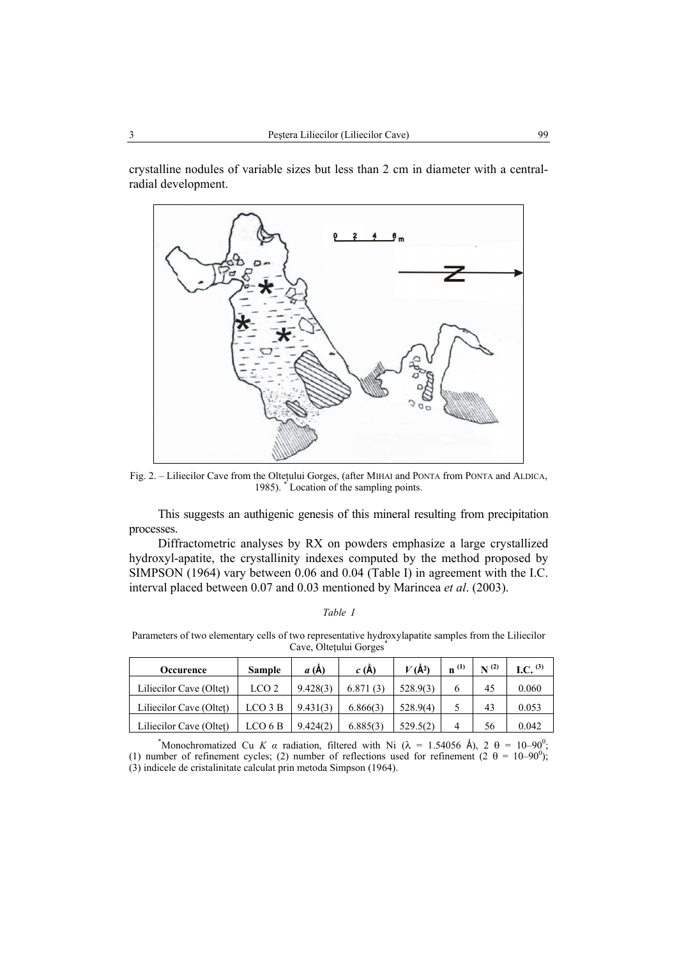crystalline nodules of variable sizes but less than 2 cm in diameter with a centralradial development.



Fig. 2. – Liliecilor Cave from the Olteţului Gorges, (after MIHAI and PONTA from PONTA and ALDICA, 1985). \* Location of the sampling points.

This suggests an authigenic genesis of this mineral resulting from precipitation processes.

Diffractometric analyses by RX on powders emphasize a large crystallized hydroxyl-apatite, the crystallinity indexes computed by the method proposed by SIMPSON (1964) vary between 0.06 and 0.04 (Table I) in agreement with the I.C. interval placed between 0.07 and 0.03 mentioned by Marincea *et al*. (2003).

## *Table I*

Parameters of two elementary cells of two representative hydroxylapatite samples from the Liliecilor Cave, Olteţului Gorges\*

| <b>Occurence</b>        | <b>Sample</b>    | a(A)     | c(A)     | $V(\AA^3)$ | $\mathbf{n}^{(1)}$ | $N^{(2)}$ | I.C. $(3)$ |
|-------------------------|------------------|----------|----------|------------|--------------------|-----------|------------|
| Liliecilor Cave (Oltet) | LCO <sub>2</sub> | 9.428(3) | 6.871(3) | 528.9(3)   |                    | 45        | 0.060      |
| Liliecilor Cave (Oltet) | LCO 3 B          | 9.431(3) | 6.866(3) | 528.9(4)   |                    | 43        | 0.053      |
| Liliecilor Cave (Oltet) | LCO 6 B          | 9.424(2) | 6.885(3) | 529.5(2)   | 4                  | 56        | 0.042      |

\*Monochromatized Cu *K a* radiation, filtered with Ni ( $\lambda$  = 1.54056 Å), 2  $\theta$  = 10–90<sup>0</sup>;

(1) number of refinement cycles; (2) number of reflections used for refinement (2  $\theta = 10-90^{\circ}$ ); (3) indicele de cristalinitate calculat prin metoda Simpson (1964).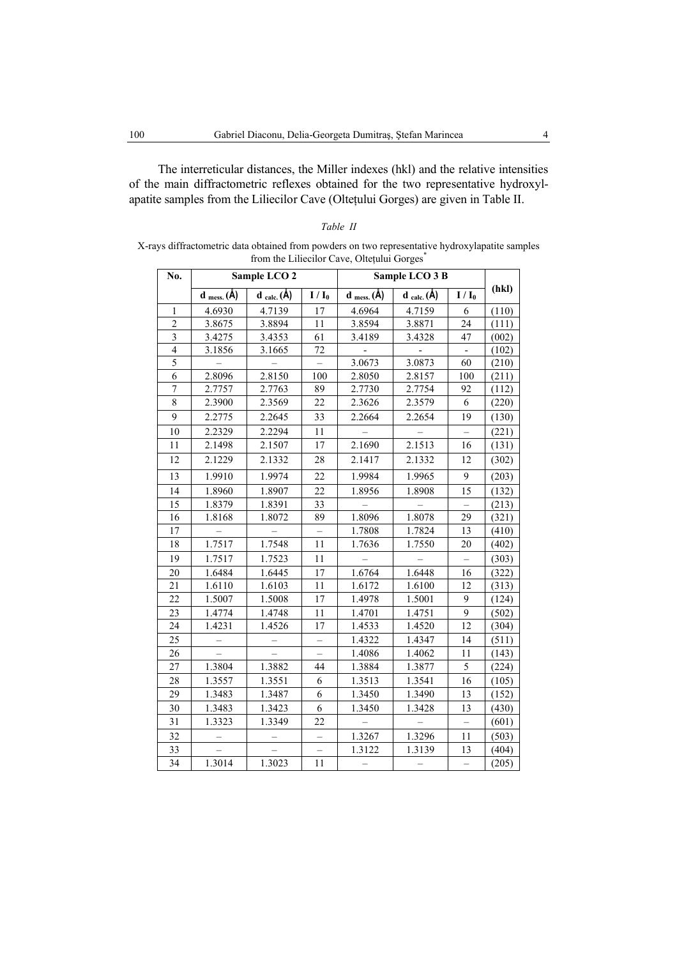The interreticular distances, the Miller indexes (hkl) and the relative intensities of the main diffractometric reflexes obtained for the two representative hydroxylapatite samples from the Liliecilor Cave (Olteţului Gorges) are given in Table II.

| No.            |                              | Sample LCO <sub>2</sub>          |                          |                              | Sample LCO 3 B   |         |       |
|----------------|------------------------------|----------------------------------|--------------------------|------------------------------|------------------|---------|-------|
|                | $d$ <sub>mess.</sub> $(\AA)$ | $\mathbf{d}_{calc.}(\mathbf{A})$ | $I/I_0$                  | $d$ <sub>mess.</sub> $(\AA)$ | $d_{calc.}(\AA)$ | $I/I_0$ | (hkl) |
| $\mathbf{1}$   | 4.6930                       | 4.7139                           | 17                       | 4.6964                       | 4.7159           | 6       | (110) |
| $\overline{2}$ | 3.8675                       | 3.8894                           | 11                       | 3.8594                       | 3.8871           | 24      | (111) |
| 3              | 3.4275                       | 3.4353                           | 61                       | 3.4189                       | 3.4328           | 47      | (002) |
| $\overline{4}$ | 3.1856                       | 3.1665                           | 72                       |                              |                  |         | (102) |
| $\overline{5}$ |                              |                                  |                          | 3.0673                       | 3.0873           | 60      | (210) |
| 6              | 2.8096                       | 2.8150                           | 100                      | 2.8050                       | 2.8157           | 100     | (211) |
| $\overline{7}$ | 2.7757                       | 2.7763                           | 89                       | 2.7730                       | 2.7754           | 92      | (112) |
| 8              | 2.3900                       | 2.3569                           | 22                       | 2.3626                       | 2.3579           | 6       | (220) |
| 9              | 2.2775                       | 2.2645                           | 33                       | 2.2664                       | 2.2654           | 19      | (130) |
| 10             | 2.2329                       | 2.2294                           | 11                       |                              |                  |         | (221) |
| 11             | 2.1498                       | 2.1507                           | 17                       | 2.1690                       | 2.1513           | 16      | (131) |
| 12             | 2.1229                       | 2.1332                           | 28                       | 2.1417                       | 2.1332           | 12      | (302) |
| 13             | 1.9910                       | 1.9974                           | 22                       | 1.9984                       | 1.9965           | 9       | (203) |
| 14             | 1.8960                       | 1.8907                           | 22                       | 1.8956                       | 1.8908           | 15      | (132) |
| 15             | 1.8379                       | 1.8391                           | 33                       |                              |                  |         | (213) |
| 16             | 1.8168                       | 1.8072                           | 89                       | 1.8096                       | 1.8078           | 29      | (321) |
| 17             |                              |                                  |                          | 1.7808                       | 1.7824           | 13      | (410) |
| 18             | 1.7517                       | 1.7548                           | 11                       | 1.7636                       | 1.7550           | 20      | (402) |
| 19             | 1.7517                       | 1.7523                           | 11                       |                              |                  |         | (303) |
| 20             | 1.6484                       | 1.6445                           | 17                       | 1.6764                       | 1.6448           | 16      | (322) |
| 21             | 1.6110                       | 1.6103                           | 11                       | 1.6172                       | 1.6100           | 12      | (313) |
| 22             | 1.5007                       | 1.5008                           | 17                       | 1.4978                       | 1.5001           | 9       | (124) |
| 23             | 1.4774                       | 1.4748                           | 11                       | 1.4701                       | 1.4751           | 9       | (502) |
| 24             | 1.4231                       | 1.4526                           | 17                       | 1.4533                       | 1.4520           | 12      | (304) |
| 25             |                              |                                  |                          | 1.4322                       | 1.4347           | 14      | (511) |
| 26             |                              |                                  |                          | 1.4086                       | 1.4062           | 11      | (143) |
| 27             | 1.3804                       | 1.3882                           | 44                       | 1.3884                       | 1.3877           | 5       | (224) |
| 28             | 1.3557                       | 1.3551                           | 6                        | 1.3513                       | 1.3541           | 16      | (105) |
| 29             | 1.3483                       | 1.3487                           | 6                        | 1.3450                       | 1.3490           | 13      | (152) |
| 30             | 1.3483                       | 1.3423                           | 6                        | 1.3450                       | 1.3428           | 13      | (430) |
| 31             | 1.3323                       | 1.3349                           | 22                       |                              |                  |         | (601) |
| 32             |                              |                                  | $\overline{\phantom{0}}$ | 1.3267                       | 1.3296           | 11      | (503) |
| 33             |                              |                                  | $\overline{\phantom{0}}$ | 1.3122                       | 1.3139           | 13      | (404) |

34 1.3014 1.3023 11 – – – (205)

*Table II*  X-rays diffractometric data obtained from powders on two representative hydroxylapatite samples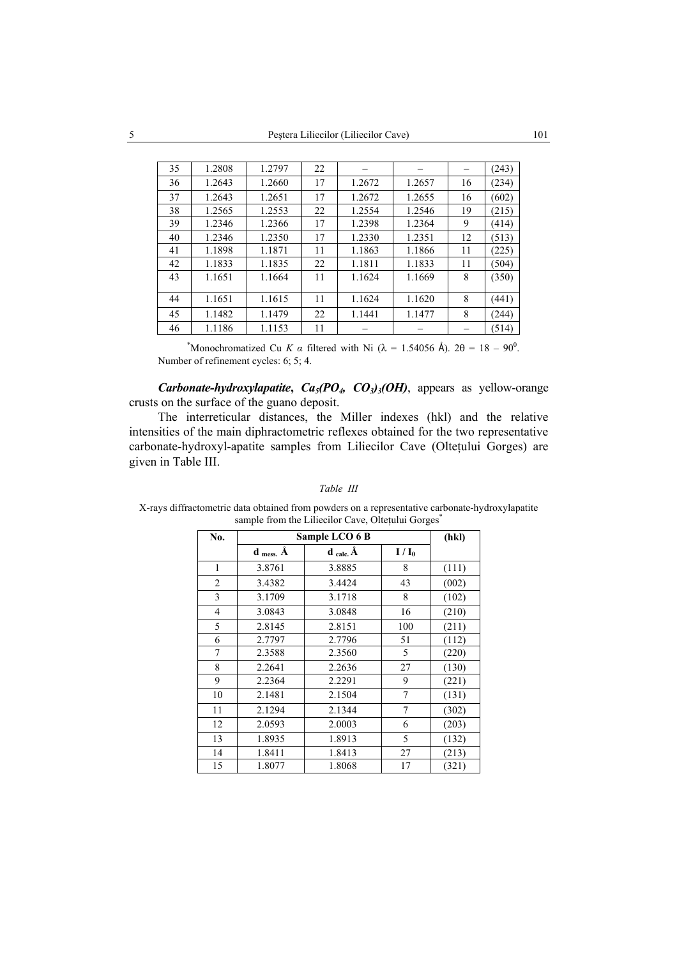| 35 | 1.2808 | 1.2797 | 22 |        |        |    | (243) |
|----|--------|--------|----|--------|--------|----|-------|
| 36 | 1.2643 | 1.2660 | 17 | 1.2672 | 1.2657 | 16 | (234) |
| 37 | 1.2643 | 1.2651 | 17 | 1.2672 | 1.2655 | 16 | (602) |
| 38 | 1.2565 | 1.2553 | 22 | 1.2554 | 1.2546 | 19 | (215) |
| 39 | 1.2346 | 1.2366 | 17 | 1.2398 | 1.2364 | 9  | (414) |
| 40 | 1.2346 | 1.2350 | 17 | 1.2330 | 1.2351 | 12 | (513) |
| 41 | 1.1898 | 1.1871 | 11 | 1.1863 | 1.1866 | 11 | (225) |
| 42 | 1.1833 | 1.1835 | 22 | 1.1811 | 1.1833 | 11 | (504) |
| 43 | 1.1651 | 1.1664 | 11 | 1.1624 | 1.1669 | 8  | (350) |
|    |        |        |    |        |        |    |       |
| 44 | 1.1651 | 1.1615 | 11 | 1.1624 | 1.1620 | 8  | (441) |
| 45 | 1.1482 | 1.1479 | 22 | 1.1441 | 1.1477 | 8  | (244) |
| 46 | 1.1186 | 1.1153 | 11 |        |        |    | (514) |

\*Monochromatized Cu *K a* filtered with Ni ( $\lambda = 1.54056$  Å).  $2\theta = 18 - 90^\circ$ . Number of refinement cycles: 6; 5; 4.

*Carbonate-hydroxylapatite*, *Ca<sub>5</sub>(PO<sub>4</sub>, CO<sub>3</sub>)<sub>3</sub>(OH)*, appears as yellow-orange crusts on the surface of the guano deposit.

The interreticular distances, the Miller indexes (hkl) and the relative intensities of the main diphractometric reflexes obtained for the two representative carbonate-hydroxyl-apatite samples from Liliecilor Cave (Olteţului Gorges) are given in Table III.

| No.            |                            | Sample LCO 6 B                          |         | (hkl) |
|----------------|----------------------------|-----------------------------------------|---------|-------|
|                | $d$ <sub>mess.</sub> $\AA$ | $\mathbf{d}_{\text{calc.}}\mathbf{\AA}$ | $I/I_0$ |       |
| 1              | 3.8761                     | 3.8885                                  | 8       | (111) |
| $\overline{2}$ | 3.4382                     | 3.4424                                  | 43      | (002) |
| 3              | 3.1709                     | 3.1718                                  | 8       | (102) |
| 4              | 3.0843                     | 3.0848                                  | 16      | (210) |
| 5              | 2.8145                     | 2.8151                                  | 100     | (211) |
| 6              | 2.7797                     | 2.7796                                  | 51      | (112) |
| 7              | 2.3588                     | 2.3560                                  | 5       | (220) |
| 8              | 2.2641                     | 2.2636                                  | 27      | (130) |
| 9              | 2.2364                     | 2.2291                                  | 9       | (221) |
| 10             | 2.1481                     | 2.1504                                  | 7       | (131) |
| 11             | 2.1294                     | 2.1344                                  | 7       | (302) |
| 12             | 2.0593                     | 2.0003                                  | 6       | (203) |
| 13             | 1.8935                     | 1.8913                                  | 5       | (132) |
| 14             | 1.8411                     | 1.8413                                  | 27      | (213) |
| 15             | 1.8077                     | 1.8068                                  | 17      | (321) |

#### *Table III*

X-rays diffractometric data obtained from powders on a representative carbonate-hydroxylapatite sample from the Liliecilor Cave, Oltețului Gorges<sup>\*</sup>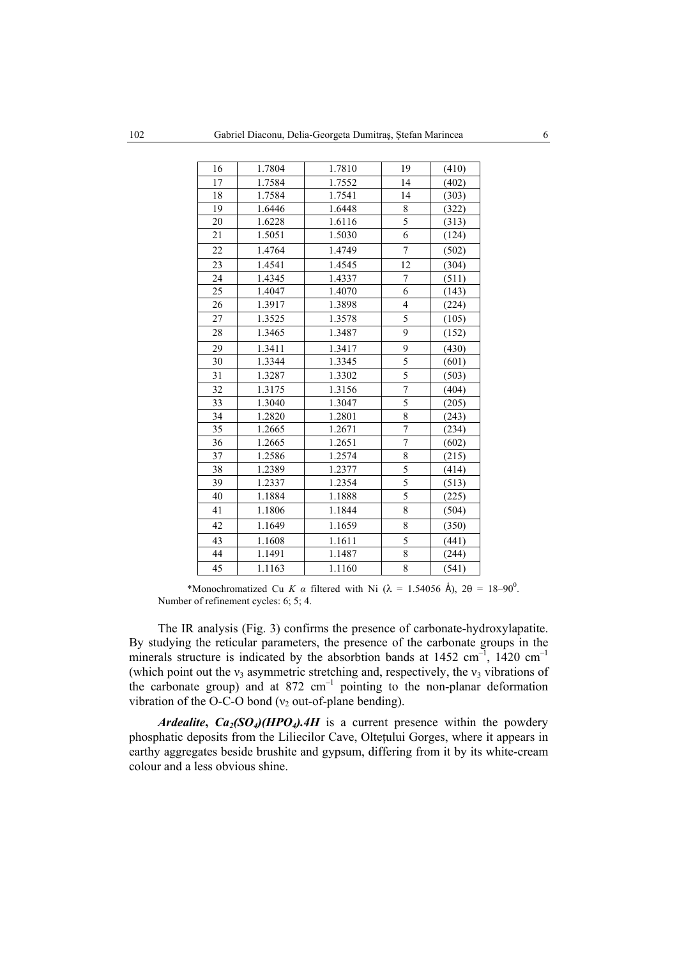| 16 | 1.7804 | 1.7810 | 19                      | (410) |
|----|--------|--------|-------------------------|-------|
| 17 | 1.7584 | 1.7552 | 14                      | (402) |
| 18 | 1.7584 | 1.7541 | 14                      | (303) |
| 19 | 1.6446 | 1.6448 | 8                       | (322) |
| 20 | 1.6228 | 1.6116 | $\overline{5}$          | (313) |
| 21 | 1.5051 | 1.5030 | 6                       | (124) |
| 22 | 1.4764 | 1.4749 | $\overline{7}$          | (502) |
| 23 | 1.4541 | 1.4545 | 12                      | (304) |
| 24 | 1.4345 | 1.4337 | 7                       | (511) |
| 25 | 1.4047 | 1.4070 | $\overline{6}$          | (143) |
| 26 | 1.3917 | 1.3898 | $\overline{\mathbf{4}}$ | (224) |
| 27 | 1.3525 | 1.3578 | $\overline{5}$          | (105) |
| 28 | 1.3465 | 1.3487 | 9                       | (152) |
| 29 | 1.3411 | 1.3417 | 9                       | (430) |
| 30 | 1.3344 | 1.3345 | 5                       | (601) |
| 31 | 1.3287 | 1.3302 | 5                       | (503) |
| 32 | 1.3175 | 1.3156 | $\overline{7}$          | (404) |
| 33 | 1.3040 | 1.3047 | $\overline{5}$          | (205) |
| 34 | 1.2820 | 1.2801 | 8                       | (243) |
| 35 | 1.2665 | 1.2671 | $\overline{7}$          | (234) |
| 36 | 1.2665 | 1.2651 | $\overline{7}$          | (602) |
| 37 | 1.2586 | 1.2574 | 8                       | (215) |
| 38 | 1.2389 | 1.2377 | $\overline{5}$          | (414) |
| 39 | 1.2337 | 1.2354 | $\overline{5}$          | (513) |
| 40 | 1.1884 | 1.1888 | $\overline{5}$          | (225) |
| 41 | 1.1806 | 1.1844 | 8                       | (504) |
| 42 | 1.1649 | 1.1659 | 8                       | (350) |
| 43 | 1.1608 | 1.1611 | 5                       | (441) |
| 44 | 1.1491 | 1.1487 | 8                       | (244) |
| 45 | 1.1163 | 1.1160 | 8                       | (541) |

\*Monochromatized Cu *K a* filtered with Ni ( $\lambda = 1.54056$  Å),  $2\theta = 18-90^0$ . Number of refinement cycles: 6; 5; 4.

The IR analysis (Fig. 3) confirms the presence of carbonate-hydroxylapatite. By studying the reticular parameters, the presence of the carbonate groups in the minerals structure is indicated by the absorbtion bands at  $1452 \text{ cm}^{-1}$ ,  $1420 \text{ cm}^{-1}$ (which point out the  $v_3$  asymmetric stretching and, respectively, the  $v_3$  vibrations of the carbonate group) and at  $872 \text{ cm}^{-1}$  pointing to the non-planar deformation vibration of the O-C-O bond ( $v_2$  out-of-plane bending).

*Ardealite*,  $Ca_2(SO_4)(HPO_4)$ .4H is a current presence within the powdery phosphatic deposits from the Liliecilor Cave, Olteţului Gorges, where it appears in earthy aggregates beside brushite and gypsum, differing from it by its white-cream colour and a less obvious shine.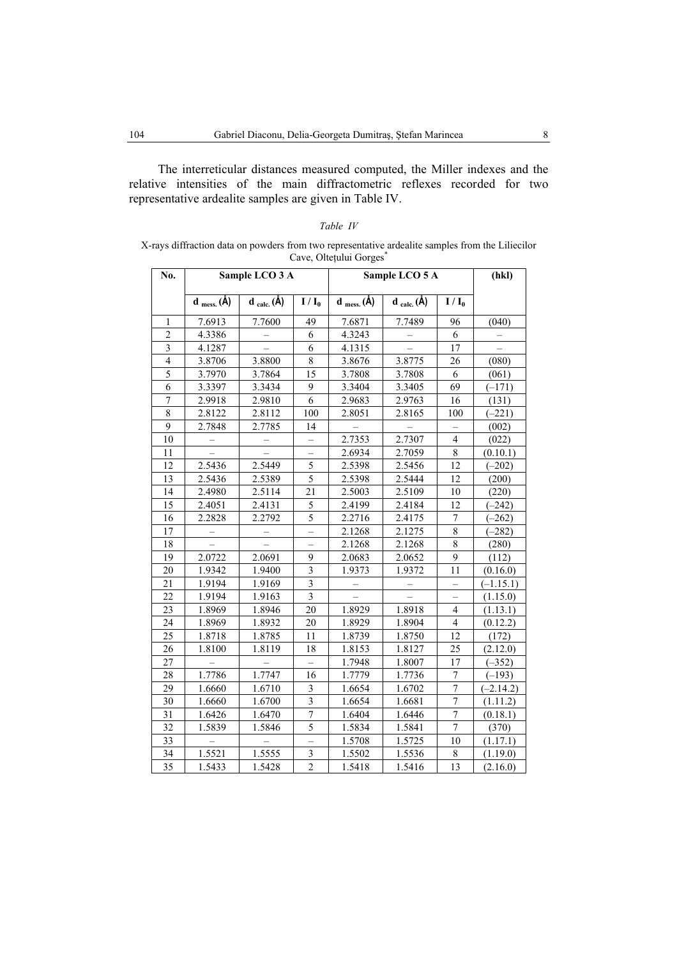The interreticular distances measured computed, the Miller indexes and the relative intensities of the main diffractometric reflexes recorded for two representative ardealite samples are given in Table IV.

| Table IV                                                                                                                   |  |
|----------------------------------------------------------------------------------------------------------------------------|--|
| X-rays diffraction data on powders from two representative ardealite samples from the Liliecilor<br>Cave, Oltetului Gorges |  |

| No.                     |                          | Sample LCO 3 A                   |                          |                          | Sample LCO 5 A                   |                          | (hkl)       |
|-------------------------|--------------------------|----------------------------------|--------------------------|--------------------------|----------------------------------|--------------------------|-------------|
|                         | $d$ <sub>mess.</sub> (Å) | $\mathbf{d}_{calc.}(\mathbf{A})$ | $\overline{I}/I_0$       | $d$ <sub>mess.</sub> (Å) | $\mathbf{d}_{calc.}(\mathbf{A})$ | $I/I_0$                  |             |
| 1                       | 7.6913                   | 7.7600                           | 49                       | 7.6871                   | 7.7489                           | 96                       | (040)       |
| $\overline{c}$          | 4.3386                   |                                  | 6                        | 4.3243                   |                                  | 6                        |             |
| $\overline{\mathbf{3}}$ | 4.1287                   |                                  | 6                        | 4.1315                   |                                  | 17                       |             |
| $\overline{4}$          | 3.8706                   | 3.8800                           | 8                        | 3.8676                   | 3.8775                           | 26                       | (080)       |
| $\overline{5}$          | 3.7970                   | 3.7864                           | 15                       | 3.7808                   | 3.7808                           | 6                        | (061)       |
| 6                       | 3.3397                   | 3.3434                           | 9                        | 3.3404                   | 3.3405                           | 69                       | $(-171)$    |
| $\boldsymbol{7}$        | 2.9918                   | 2.9810                           | 6                        | 2.9683                   | 2.9763                           | 16                       | (131)       |
| 8                       | 2.8122                   | 2.8112                           | 100                      | 2.8051                   | 2.8165                           | 100                      | $(-221)$    |
| 9                       | 2.7848                   | 2.7785                           | 14                       |                          |                                  |                          | (002)       |
| 10                      |                          |                                  |                          | 2.7353                   | 2.7307                           | $\overline{\mathcal{L}}$ | (022)       |
| 11                      |                          |                                  | $\overline{\phantom{0}}$ | 2.6934                   | 2.7059                           | $\,$ 8 $\,$              | (0.10.1)    |
| 12                      | 2.5436                   | 2.5449                           | 5                        | 2.5398                   | 2.5456                           | 12                       | $(-202)$    |
| 13                      | 2.5436                   | 2.5389                           | 5                        | 2.5398                   | 2.5444                           | 12                       | (200)       |
| 14                      | 2.4980                   | 2.5114                           | 21                       | 2.5003                   | 2.5109<br>10                     |                          | (220)       |
| 15                      | 2.4051                   | 2.4131                           | 5                        | 2.4199                   | 2.4184                           | 12                       | $(-242)$    |
| 16                      | 2.2828                   | 2.2792                           | 5                        | 2.2716                   | 2.4175                           | $\tau$                   | $(-262)$    |
| 17                      | —                        | ÷                                | $\overline{\phantom{0}}$ | 2.1268                   | 2.1275                           | $\,$ $\,$                | $(-282)$    |
| 18                      |                          |                                  |                          | 2.1268                   | 2.1268                           | $\overline{8}$           | (280)       |
| 19                      | 2.0722                   | 2.0691                           | 9                        | 2.0683                   | 2.0652                           | 9                        | (112)       |
| 20                      | 1.9342                   | 1.9400                           | $\overline{3}$           | 1.9373                   | 1.9372                           | 11                       | (0.16.0)    |
| 21                      | 1.9194                   | 1.9169                           | $\overline{3}$           | $\overline{\phantom{0}}$ |                                  |                          | $(-1.15.1)$ |
| 22                      | 1.9194                   | 1.9163                           | $\overline{\mathbf{3}}$  |                          |                                  |                          | (1.15.0)    |
| 23                      | 1.8969                   | 1.8946                           | 20                       | 1.8929                   | 1.8918                           | $\overline{4}$           | (1.13.1)    |
| 24                      | 1.8969                   | 1.8932                           | 20                       | 1.8929                   | 1.8904                           | $\overline{4}$           | (0.12.2)    |
| 25                      | 1.8718                   | 1.8785                           | 11                       | 1.8739                   | 1.8750                           | 12                       | (172)       |
| 26                      | 1.8100                   | 1.8119                           | 18                       | 1.8153                   | 1.8127                           | 25                       | (2.12.0)    |
| 27                      |                          |                                  | $\overline{\phantom{0}}$ | 1.7948                   | 1.8007                           | 17                       | $(-352)$    |
| 28                      | 1.7786                   | 1.7747                           | 16                       | 1.7779                   | 1.7736                           | $\tau$                   | $(-193)$    |
| 29                      | 1.6660                   | 1.6710                           | 3                        | 1.6654                   | 1.6702                           | $\boldsymbol{7}$         | $(-2.14.2)$ |
| 30                      | 1.6660                   | 1.6700                           | $\overline{3}$           | 1.6654                   | 1.6681                           | $\overline{7}$           | (1.11.2)    |
| 31                      | 1.6426                   | 1.6470                           | $\overline{7}$           | 1.6404                   | 1.6446                           | $\overline{7}$           | (0.18.1)    |
| 32                      | 1.5839                   | 1.5846                           | 5                        | 1.5834                   | 1.5841                           | $\overline{7}$           | (370)       |
| 33                      |                          | $\overline{\phantom{0}}$         | $\overline{\phantom{0}}$ | 1.5708                   | 1.5725                           | 10                       | (1.17.1)    |
| 34                      | 1.5521                   | 1.5555                           | 3                        | 1.5502                   | 1.5536                           | $\,$ 8 $\,$              | (1.19.0)    |
| 35                      | 1.5433                   | 1.5428                           | $\overline{c}$           | 1.5418                   | 1.5416                           | 13                       | (2.16.0)    |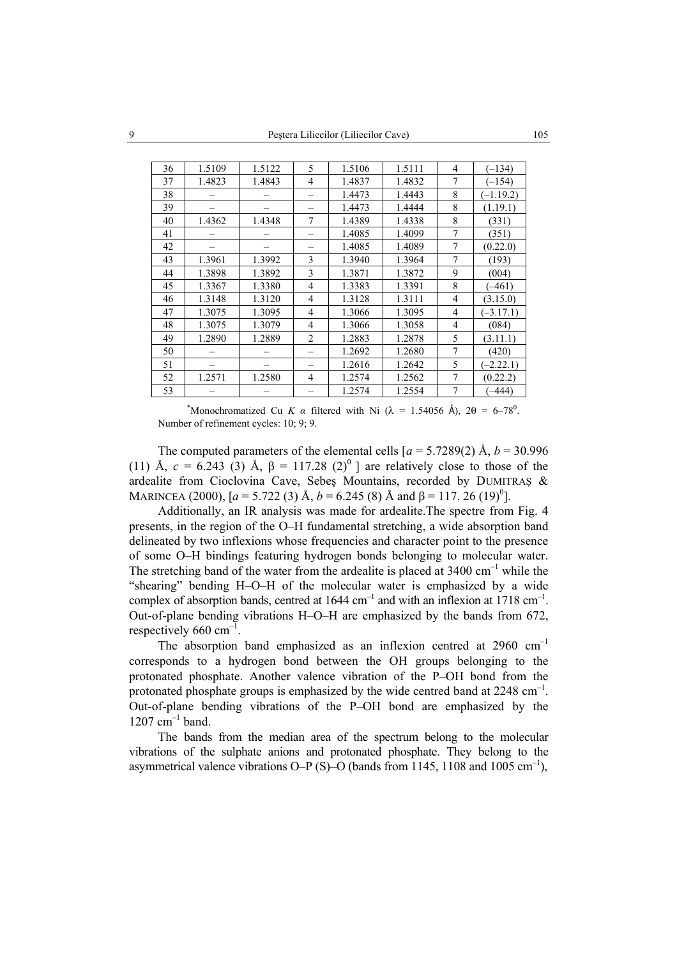| 36 | 1.5109 | 1.5122 | 5              | 1.5106 | 1.5111 | 4              | $(-134)$    |
|----|--------|--------|----------------|--------|--------|----------------|-------------|
| 37 | 1.4823 | 1.4843 | 4              | 1.4837 | 1.4832 | 7              | $-154$      |
| 38 |        |        |                | 1.4473 | 1.4443 | 8              | $(-1.19.2)$ |
| 39 |        |        |                | 1.4473 | 1.4444 | 8              | (1.19.1)    |
| 40 | 1.4362 | 1.4348 | 7              | 1.4389 | 1.4338 | 8              | (331)       |
| 41 |        |        |                | 1.4085 | 1.4099 | 7              | (351)       |
| 42 |        |        |                | 1.4085 | 1.4089 | 7              | (0.22.0)    |
| 43 | 1.3961 | 1.3992 | 3              | 1.3940 | 1.3964 | 7              | (193)       |
| 44 | 1.3898 | 1.3892 | 3              | 1.3871 | 1.3872 | 9              | (004)       |
| 45 | 1.3367 | 1.3380 | $\overline{4}$ | 1.3383 | 1.3391 | 8              | $(-461)$    |
| 46 | 1.3148 | 1.3120 | $\overline{4}$ | 1.3128 | 1.3111 | $\overline{4}$ | (3.15.0)    |
| 47 | 1.3075 | 1.3095 | 4              | 1.3066 | 1.3095 | $\overline{4}$ | $(-3.17.1)$ |
| 48 | 1.3075 | 1.3079 | $\overline{4}$ | 1.3066 | 1.3058 | 4              | (084)       |
| 49 | 1.2890 | 1.2889 | $\overline{2}$ | 1.2883 | 1.2878 | 5              | (3.11.1)    |
| 50 |        |        |                | 1.2692 | 1.2680 | 7              | (420)       |
| 51 |        |        |                | 1.2616 | 1.2642 | 5              | $(-2.22.1)$ |
| 52 | 1.2571 | 1.2580 | 4              | 1.2574 | 1.2562 | 7              | (0.22.2)    |
| 53 |        |        |                | 1.2574 | 1.2554 | 7              | $-444$      |

\*Monochromatized Cu *K a* filtered with Ni ( $\lambda = 1.54056$  Å),  $2\theta = 6-78^{\circ}$ . Number of refinement cycles: 10; 9; 9.

The computed parameters of the elemental cells  $[a = 5.7289(2) \text{ Å}, b = 30.996$ (11) Å,  $c = 6.243$  (3) Å,  $\beta = 117.28$  (2)<sup>0</sup> ] are relatively close to those of the ardealite from Cioclovina Cave, Sebeş Mountains, recorded by DUMITRAŞ & MARINCEA (2000),  $[a = 5.722 \ (3) \ \text{Å}, b = 6.245 \ (8) \ \text{Å}$  and  $\beta = 117.26 \ (19)^{0}$ .

Additionally, an IR analysis was made for ardealite.The spectre from Fig. 4 presents, in the region of the O–H fundamental stretching, a wide absorption band delineated by two inflexions whose frequencies and character point to the presence of some O–H bindings featuring hydrogen bonds belonging to molecular water. The stretching band of the water from the ardealite is placed at  $3400 \text{ cm}^{-1}$  while the "shearing" bending H–O–H of the molecular water is emphasized by a wide complex of absorption bands, centred at  $1644 \text{ cm}^{-1}$  and with an inflexion at  $1718 \text{ cm}^{-1}$ . Out-of-plane bending vibrations H–O–H are emphasized by the bands from 672, respectively  $660 \text{ cm}^{-1}$ .

The absorption band emphasized as an inflexion centred at 2960 cm<sup>-1</sup> corresponds to a hydrogen bond between the OH groups belonging to the protonated phosphate. Another valence vibration of the P–OH bond from the protonated phosphate groups is emphasized by the wide centred band at  $2248 \text{ cm}^{-1}$ . Out-of-plane bending vibrations of the P–OH bond are emphasized by the  $1207$  cm<sup>-1</sup> band.

The bands from the median area of the spectrum belong to the molecular vibrations of the sulphate anions and protonated phosphate. They belong to the asymmetrical valence vibrations O–P (S)–O (bands from 1145, 1108 and 1005 cm<sup>-1</sup>),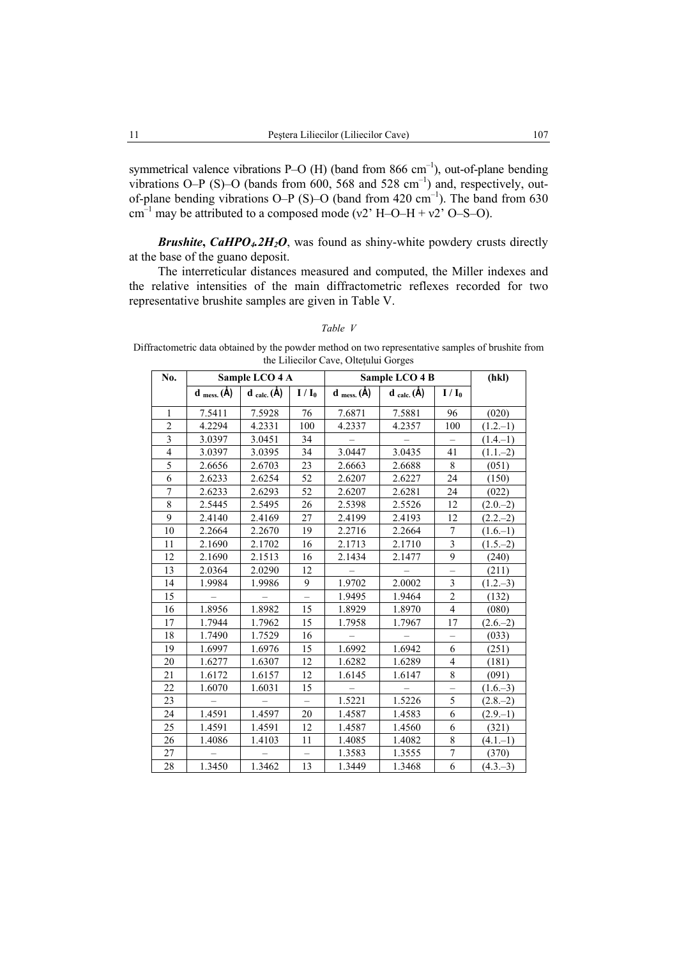symmetrical valence vibrations P–O  $(H)$  (band from 866 cm<sup>-1</sup>), out-of-plane bending vibrations O–P (S)–O (bands from 600, 568 and 528 cm<sup>-1</sup>) and, respectively, outof-plane bending vibrations O–P (S)–O (band from  $420 \text{ cm}^{-1}$ ). The band from  $630 \text{ m}$ cm<sup>-1</sup> may be attributed to a composed mode (v2' H–O–H + v2' O–S–O).

**Brushite, CaHPO<sub>4</sub>.2H<sub>2</sub>O**, was found as shiny-white powdery crusts directly at the base of the guano deposit.

The interreticular distances measured and computed, the Miller indexes and the relative intensities of the main diffractometric reflexes recorded for two representative brushite samples are given in Table V.

#### *Table V*

Diffractometric data obtained by the powder method on two representative samples of brushite from the Liliecilor Cave, Olteţului Gorges

| No.                      |                                    | Sample LCO 4 A                          |                          | Sample LCO 4 B                     |                                         |                         | (hkl)       |
|--------------------------|------------------------------------|-----------------------------------------|--------------------------|------------------------------------|-----------------------------------------|-------------------------|-------------|
|                          | $d$ <sub>mess.</sub> ( $\dot{A}$ ) | $\mathbf{d}_{\text{calc.}}(\mathbf{A})$ | $I/I_0$                  | $d$ <sub>mess.</sub> ( $\dot{A}$ ) | $\mathbf{d}_{\text{calc.}}(\mathbf{A})$ | $I/I_0$                 |             |
| $\mathbf{1}$             | 7.5411                             | 7.5928                                  | 76                       | 7.6871                             | 7.5881                                  | 96                      | (020)       |
| $\overline{c}$           | 4.2294                             | 4.2331                                  | 100                      | 4.2337                             | 4.2357                                  | 100                     | $(1.2,-1)$  |
| $\overline{3}$           | 3.0397                             | 3.0451                                  | 34                       |                                    |                                         |                         | $(1.4,-1)$  |
| $\overline{\mathcal{L}}$ | 3.0397                             | 3.0395                                  | 34                       | 3.0447                             | 3.0435                                  | 41                      | $(1.1,-2)$  |
| $\overline{5}$           | 2.6656                             | 2.6703                                  | 23                       | 2.6663                             | 2.6688                                  | 8                       | (051)       |
| 6                        | 2.6233                             | 2.6254                                  | 52                       | 2.6207                             | 2.6227                                  | 24                      | (150)       |
| $\overline{7}$           | 2.6233                             | 2.6293                                  | 52                       | 2.6207                             | 2.6281                                  | 24                      | (022)       |
| 8                        | 2.5445                             | 2.5495                                  | 26                       | 2.5398                             | 2.5526                                  | 12                      | $(2.0,-2)$  |
| 9                        | 2.4140                             | 2.4169                                  | 27                       | 2.4199                             | 2.4193                                  | 12                      | $(2.2,-2)$  |
| 10                       | 2.2664                             | 2.2670                                  | 19                       | 2.2716                             | 2.2664                                  | $\boldsymbol{7}$        | $(1.6,-1)$  |
| 11                       | 2.1690                             | 2.1702                                  | 16                       | 2.1713                             | 2.1710                                  | $\overline{\mathbf{3}}$ | $(1.5-2)$   |
| 12                       | 2.1690                             | 2.1513                                  | 16                       | 2.1434                             | 2.1477                                  | 9                       | (240)       |
| 13                       | 2.0364                             | 2.0290                                  | 12                       |                                    |                                         |                         | (211)       |
| 14                       | 1.9984                             | 1.9986                                  | 9                        | 1.9702                             | 2.0002                                  | 3                       | $(1.2,-3)$  |
| 15                       |                                    |                                         | $\overline{\phantom{0}}$ | 1.9495                             | 1.9464                                  | $\overline{c}$          | (132)       |
| 16                       | 1.8956                             | 1.8982                                  | 15                       | 1.8929                             | 1.8970                                  | $\overline{4}$          | (080)       |
| 17                       | 1.7944                             | 1.7962                                  | 15                       | 1.7958                             | 1.7967                                  | 17                      | $(2.6-2)$   |
| 18                       | 1.7490                             | 1.7529                                  | 16                       |                                    |                                         |                         | (033)       |
| 19                       | 1.6997                             | 1.6976                                  | 15                       | 1.6992                             | 1.6942                                  | 6                       | (251)       |
| 20                       | 1.6277                             | 1.6307                                  | 12                       | 1.6282                             | 1.6289                                  | $\overline{4}$          | (181)       |
| 21                       | 1.6172                             | 1.6157                                  | 12                       | 1.6145                             | 1.6147                                  | 8                       | (091)       |
| 22                       | 1.6070                             | 1.6031                                  | 15                       |                                    |                                         | $\qquad \qquad -$       | $(1.6-3)$   |
| 23                       |                                    |                                         |                          | 1.5221                             | 1.5226                                  | 5                       | $(2.8,-2)$  |
| 24                       | 1.4591                             | 1.4597                                  | 20                       | 1.4587                             | 1.4583                                  | 6                       | $(2.9 - 1)$ |
| 25                       | 1.4591                             | 1.4591                                  | 12                       | 1.4587                             | 1.4560                                  | 6                       | (321)       |
| 26                       | 1.4086                             | 1.4103                                  | 11                       | 1.4085                             | 1.4082                                  | $\,$ $\,$               | $(4.1,-1)$  |
| 27                       |                                    |                                         |                          | 1.3583                             | 1.3555                                  | $\boldsymbol{7}$        | (370)       |
| 28                       | 1.3450                             | 1.3462                                  | 13                       | 1.3449                             | 1.3468                                  | 6                       | $(4.3,-3)$  |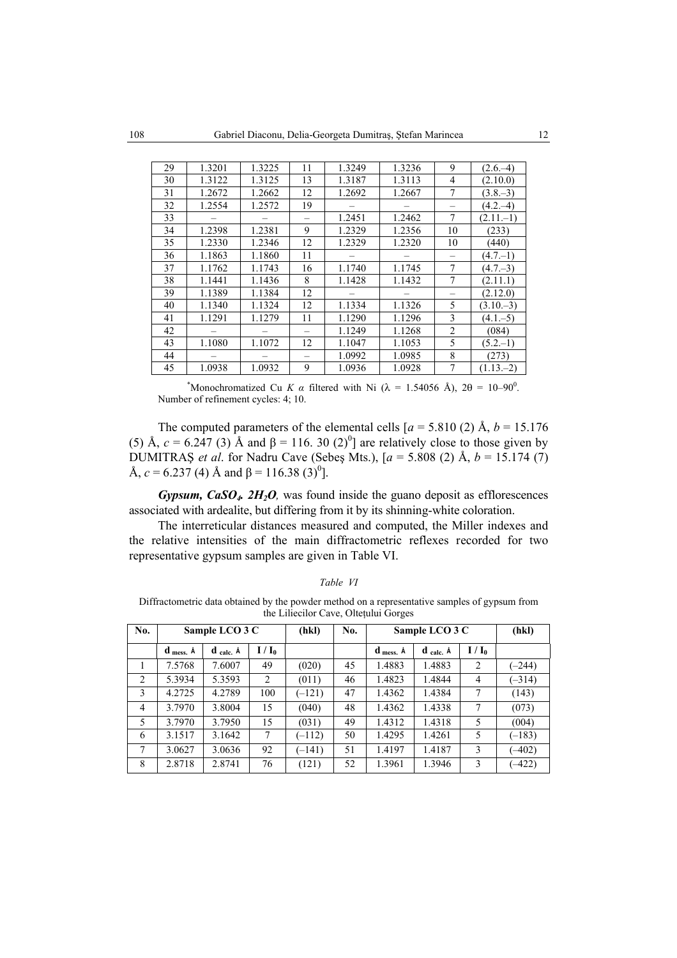| 29 | 1.3201 | 1.3225 | 11 | 1.3249 | 1.3236 | 9              | $(2.6,-4)$   |
|----|--------|--------|----|--------|--------|----------------|--------------|
| 30 | 1.3122 | 1.3125 | 13 | 1.3187 | 1.3113 | 4              | (2.10.0)     |
| 31 | 1.2672 | 1.2662 | 12 | 1.2692 | 1.2667 | 7              | $(3.8,-3)$   |
| 32 | 1.2554 | 1.2572 | 19 |        |        |                | $(4.2,-4)$   |
| 33 |        |        |    | 1.2451 | 1.2462 | 7              | $(2.11 - 1)$ |
| 34 | 1.2398 | 1.2381 | 9  | 1.2329 | 1.2356 | 10             | (233)        |
| 35 | 1.2330 | 1.2346 | 12 | 1.2329 | 1.2320 | 10             | (440)        |
| 36 | 1.1863 | 1.1860 | 11 |        |        |                | $(4.7 - 1)$  |
| 37 | 1.1762 | 1.1743 | 16 | 1.1740 | 1.1745 | 7              | $(4.7-3)$    |
| 38 | 1.1441 | 1.1436 | 8  | 1.1428 | 1.1432 | 7              | (2.11.1)     |
| 39 | 1.1389 | 1.1384 | 12 |        |        |                | (2.12.0)     |
| 40 | 1.1340 | 1.1324 | 12 | 1.1334 | 1.1326 | 5              | $(3.10-3)$   |
| 41 | 1.1291 | 1.1279 | 11 | 1.1290 | 1.1296 | 3              | $(4.1 - 5)$  |
| 42 |        |        |    | 1.1249 | 1.1268 | $\overline{2}$ | (084)        |
| 43 | 1.1080 | 1.1072 | 12 | 1.1047 | 1.1053 | 5              | $(5.2,-1)$   |
| 44 |        |        |    | 1.0992 | 1.0985 | 8              | (273)        |
| 45 | 1.0938 | 1.0932 | 9  | 1.0936 | 1.0928 | 7              | $(1.13,-2)$  |

\*Monochromatized Cu *K a* filtered with Ni ( $\lambda = 1.54056$  Å),  $2\theta = 10-90^\circ$ . Number of refinement cycles: 4; 10.

The computed parameters of the elemental cells  $[a = 5.810 (2)$  Å,  $b = 15.176$ (5) Å,  $c = 6.247$  (3) Å and  $\beta = 116.30$  (2)<sup>0</sup>] are relatively close to those given by DUMITRAŞ *et al*. for Nadru Cave (Sebeş Mts.), [*a* = 5.808 (2) Å, *b* = 15.174 (7) Å,  $c = 6.237$  (4) Å and  $\beta = 116.38$  (3)<sup>0</sup>].

*Gypsum, CaSO4. 2H2O,* was found inside the guano deposit as efflorescences associated with ardealite, but differing from it by its shinning-white coloration.

The interreticular distances measured and computed, the Miller indexes and the relative intensities of the main diffractometric reflexes recorded for two representative gypsum samples are given in Table VI.

Diffractometric data obtained by the powder method on a representative samples of gypsum from the Liliecilor Cave, Olteţului Gorges

| No.            |                            | Sample LCO 3 C  |         | (hkl)    | No. | Sample LCO 3 C             |                         |                | (hkl)    |
|----------------|----------------------------|-----------------|---------|----------|-----|----------------------------|-------------------------|----------------|----------|
|                | $d$ <sub>mess.</sub> $\AA$ | $d$ calc. $\AA$ | $I/I_0$ |          |     | $d$ <sub>mess.</sub> $\AA$ | $\bf d$ calc. $\bf \AA$ | $I/I_0$        |          |
|                | 7.5768                     | 7.6007          | 49      | (020)    | 45  | 1.4883                     | 1.4883                  | $\overline{2}$ | $(-244)$ |
| 2              | 5.3934                     | 5.3593          | 2       | (011)    | 46  | 1.4823                     | 1.4844                  | 4              | $(-314)$ |
| 3              | 4.2725                     | 4.2789          | 100     | $(-121)$ | 47  | 1.4362                     | 1.4384                  | 7              | (143)    |
| $\overline{4}$ | 3.7970                     | 3.8004          | 15      | (040)    | 48  | 1.4362                     | 1.4338                  | 7              | (073)    |
| 5              | 3.7970                     | 3.7950          | 15      | (031)    | 49  | 1.4312                     | 1.4318                  | 5              | (004)    |
| 6              | 3.1517                     | 3.1642          | 7       | $(-112)$ | 50  | 1.4295                     | 1.4261                  | 5              | $(-183)$ |
| 7              | 3.0627                     | 3.0636          | 92      | $(-141)$ | 51  | 1.4197                     | 1.4187                  | 3              | $(-402)$ |
| 8              | 2.8718                     | 2.8741          | 76      | (121)    | 52  | 1.3961                     | 1.3946                  | 3              | $(-422)$ |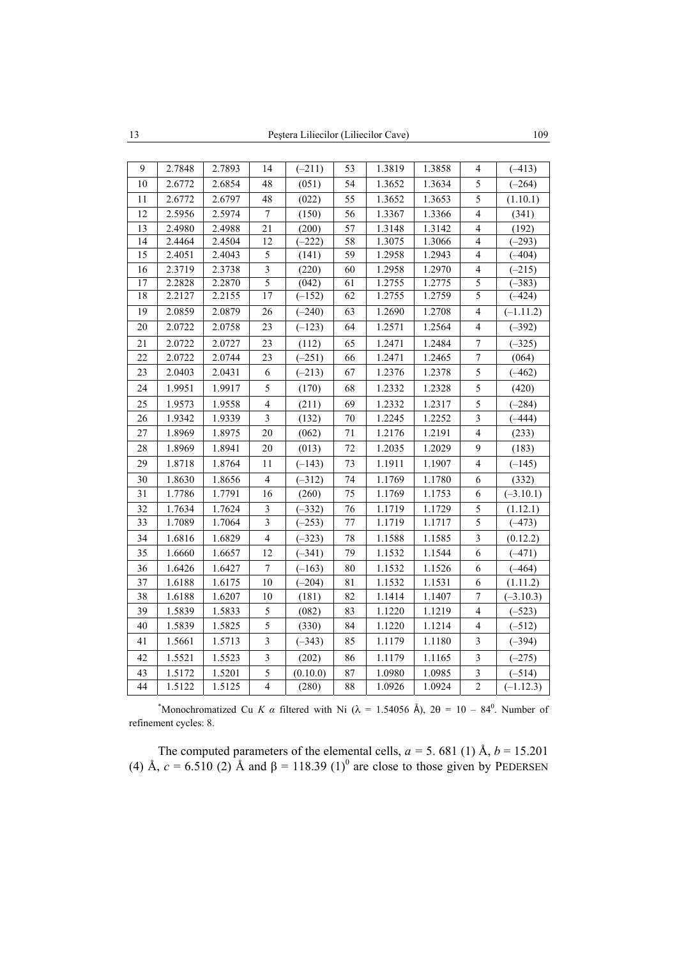| 9               | 2.7848 | 2.7893 | 14                      | $(-211)$ | 53              | 1.3819 | 1.3858 | 4                       | $(-413)$    |
|-----------------|--------|--------|-------------------------|----------|-----------------|--------|--------|-------------------------|-------------|
| 10              | 2.6772 | 2.6854 | 48                      | (051)    | 54              | 1.3652 | 1.3634 | 5                       | $(-264)$    |
| 11              | 2.6772 | 2.6797 | 48                      | (022)    | 55              | 1.3652 | 1.3653 | 5                       | (1.10.1)    |
| 12              | 2.5956 | 2.5974 | 7                       | (150)    | 56              | 1.3367 | 1.3366 | 4                       | (341)       |
| 13              | 2.4980 | 2.4988 | 21                      | (200)    | 57              | 1.3148 | 1.3142 | $\overline{4}$          | (192)       |
| 14              | 2.4464 | 2.4504 | 12                      | $(-222)$ | 58              | 1.3075 | 1.3066 | 4                       | $(-293)$    |
| 15              | 2.4051 | 2.4043 | 5                       | (141)    | 59              | 1.2958 | 1.2943 | 4                       | $(-404)$    |
| 16              | 2.3719 | 2.3738 | 3                       | (220)    | 60              | 1.2958 | 1.2970 | 4                       | $(-215)$    |
| $\overline{17}$ | 2.2828 | 2.2870 | 5                       | (042)    | 61              | 1.2755 | 1.2775 | 5                       | $(-383)$    |
| 18              | 2.2127 | 2.2155 | $\overline{17}$         | $(-152)$ | $\overline{62}$ | 1.2755 | 1.2759 | $\overline{5}$          | $(-424)$    |
| 19              | 2.0859 | 2.0879 | 26                      | $(-240)$ | 63              | 1.2690 | 1.2708 | 4                       | $(-1.11.2)$ |
| $\overline{20}$ | 2.0722 | 2.0758 | $\overline{23}$         | $(-123)$ | 64              | 1.2571 | 1.2564 | 4                       | $(-392)$    |
| 21              | 2.0722 | 2.0727 | 23                      | (112)    | 65              | 1.2471 | 1.2484 | $\overline{7}$          | $(-325)$    |
| 22              | 2.0722 | 2.0744 | 23                      | $(-251)$ | 66              | 1.2471 | 1.2465 | 7                       | (064)       |
| 23              | 2.0403 | 2.0431 | 6                       | $(-213)$ | 67              | 1.2376 | 1.2378 | 5                       | $(-462)$    |
| 24              | 1.9951 | 1.9917 | 5                       | (170)    | 68              | 1.2332 | 1.2328 | 5                       | (420)       |
| 25              | 1.9573 | 1.9558 | 4                       | (211)    | 69              | 1.2332 | 1.2317 | 5                       | $(-284)$    |
| 26              | 1.9342 | 1.9339 | 3                       | (132)    | 70              | 1.2245 | 1.2252 | $\overline{\mathbf{3}}$ | $(-444)$    |
| 27              | 1.8969 | 1.8975 | 20                      | (062)    | 71              | 1.2176 | 1.2191 | $\overline{4}$          | (233)       |
| 28              | 1.8969 | 1.8941 | 20                      | (013)    | 72              | 1.2035 | 1.2029 | 9                       | (183)       |
| 29              | 1.8718 | 1.8764 | 11                      | $(-143)$ | 73              | 1.1911 | 1.1907 | $\overline{4}$          | $(-145)$    |
| 30              | 1.8630 | 1.8656 | 4                       | $(-312)$ | 74              | 1.1769 | 1.1780 | 6                       | (332)       |
| 31              | 1.7786 | 1.7791 | 16                      | (260)    | 75              | 1.1769 | 1.1753 | 6                       | $(-3.10.1)$ |
| 32              | 1.7634 | 1.7624 | 3                       | $(-332)$ | 76              | 1.1719 | 1.1729 | 5                       | (1.12.1)    |
| 33              | 1.7089 | 1.7064 | $\overline{\mathbf{3}}$ | $(-253)$ | 77              | 1.1719 | 1.1717 | $\overline{5}$          | $(-473)$    |
| 34              | 1.6816 | 1.6829 | 4                       | $(-323)$ | 78              | 1.1588 | 1.1585 | $\overline{\mathbf{3}}$ | (0.12.2)    |
| 35              | 1.6660 | 1.6657 | 12                      | $(-341)$ | 79              | 1.1532 | 1.1544 | 6                       | $(-471)$    |
| 36              | 1.6426 | 1.6427 | 7                       | $(-163)$ | 80              | 1.1532 | 1.1526 | 6                       | $(-464)$    |
| 37              | 1.6188 | 1.6175 | 10                      | $(-204)$ | 81              | 1.1532 | 1.1531 | 6                       | (1.11.2)    |
| 38              | 1.6188 | 1.6207 | 10                      | (181)    | 82              | 1.1414 | 1.1407 | 7                       | $(-3.10.3)$ |
| 39              | 1.5839 | 1.5833 | 5                       | (082)    | 83              | 1.1220 | 1.1219 | 4                       | $(-523)$    |
| 40              | 1.5839 | 1.5825 | 5                       | (330)    | 84              | 1.1220 | 1.1214 | 4                       | $(-512)$    |
| 41              | 1.5661 | 1.5713 | 3                       | $(-343)$ | 85              | 1.1179 | 1.1180 | 3                       | $(-394)$    |
| 42              | 1.5521 | 1.5523 | 3                       | (202)    | 86              | 1.1179 | 1.1165 | 3                       | $(-275)$    |
| 43              | 1.5172 | 1.5201 | 5                       | (0.10.0) | 87              | 1.0980 | 1.0985 | 3                       | $(-514)$    |
| 44              | 1.5122 | 1.5125 | 4                       | (280)    | 88              | 1.0926 | 1.0924 | $\overline{c}$          | $(-1.12.3)$ |

\*Monochromatized Cu *K a* filtered with Ni ( $\lambda = 1.54056$  Å),  $2\theta = 10 - 84^\circ$ . Number of refinement cycles: 8.

The computed parameters of the elemental cells,  $a = 5.681$  (1)  $\AA$ ,  $b = 15.201$ (4) Å,  $c = 6.510$  (2) Å and  $\beta = 118.39$  (1)<sup>0</sup> are close to those given by PEDERSEN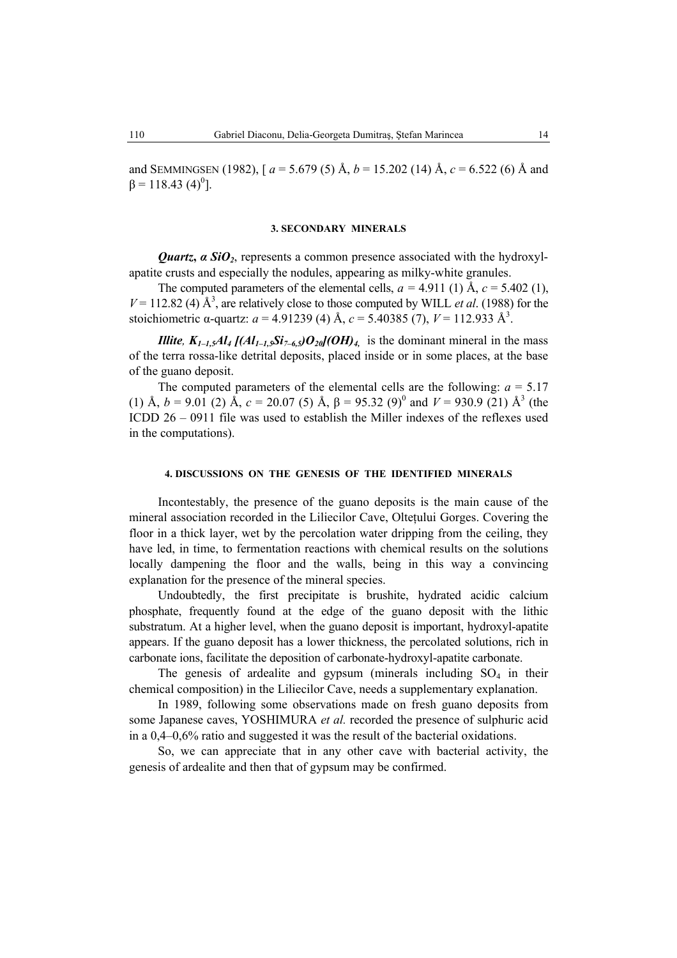and SEMMINGSEN (1982),  $[a = 5.679(5) \text{ Å}, b = 15.202(14) \text{ Å}, c = 6.522(6) \text{ Å}$  and  $β = 118.43 (4)<sup>0</sup>$ ].

### **3. SECONDARY MINERALS**

*Quartz***,** *α SiO2*, represents a common presence associated with the hydroxylapatite crusts and especially the nodules, appearing as milky-white granules.

The computed parameters of the elemental cells,  $a = 4.911$  (1)  $\text{\AA}$ ,  $c = 5.402$  (1),  $V = 112.82$  (4)  $\AA^3$ , are relatively close to those computed by WILL *et al.* (1988) for the stoichiometric  $\alpha$ -quartz:  $a = 4.91239$  (4) Å,  $c = 5.40385$  (7),  $V = 112.933$  Å<sup>3</sup>.

*Illite,*  $K_{1-1,5}Al_4$  [( $Al_{1-1,5}Si_{7-6,5}O_{20}$ ](OH)<sub>4</sub> is the dominant mineral in the mass of the terra rossa-like detrital deposits, placed inside or in some places, at the base of the guano deposit.

The computed parameters of the elemental cells are the following:  $a = 5.17$ (1) Å,  $b = 9.01$  (2) Å,  $c = 20.07$  (5) Å,  $\beta = 95.32$  (9)<sup>0</sup> and  $V = 930.9$  (21) Å<sup>3</sup> (the ICDD 26 – 0911 file was used to establish the Miller indexes of the reflexes used in the computations).

## **4. DISCUSSIONS ON THE GENESIS OF THE IDENTIFIED MINERALS**

Incontestably, the presence of the guano deposits is the main cause of the mineral association recorded in the Liliecilor Cave, Oltetului Gorges. Covering the floor in a thick layer, wet by the percolation water dripping from the ceiling, they have led, in time, to fermentation reactions with chemical results on the solutions locally dampening the floor and the walls, being in this way a convincing explanation for the presence of the mineral species.

Undoubtedly, the first precipitate is brushite, hydrated acidic calcium phosphate, frequently found at the edge of the guano deposit with the lithic substratum. At a higher level, when the guano deposit is important, hydroxyl-apatite appears. If the guano deposit has a lower thickness, the percolated solutions, rich in carbonate ions, facilitate the deposition of carbonate-hydroxyl-apatite carbonate.

The genesis of ardealite and gypsum (minerals including  $SO_4$  in their chemical composition) in the Liliecilor Cave, needs a supplementary explanation.

In 1989, following some observations made on fresh guano deposits from some Japanese caves, YOSHIMURA *et al.* recorded the presence of sulphuric acid in a 0,4–0,6% ratio and suggested it was the result of the bacterial oxidations.

So, we can appreciate that in any other cave with bacterial activity, the genesis of ardealite and then that of gypsum may be confirmed.